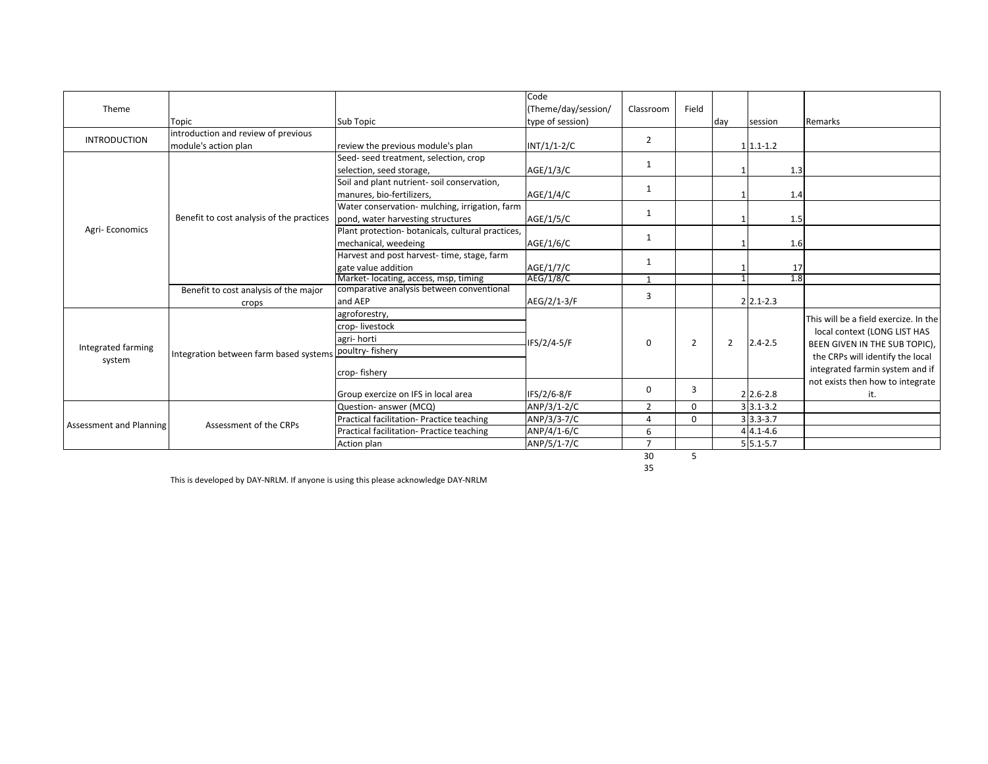| Theme                          |                                           |                                                   | Code                |                |                |                |                           |                                       |
|--------------------------------|-------------------------------------------|---------------------------------------------------|---------------------|----------------|----------------|----------------|---------------------------|---------------------------------------|
|                                |                                           |                                                   | (Theme/day/session/ | Classroom      | Field          |                |                           |                                       |
|                                | Topic                                     | Sub Topic                                         | type of session)    |                |                | day            | session                   | Remarks                               |
| <b>INTRODUCTION</b>            | introduction and review of previous       |                                                   |                     | $\overline{2}$ |                |                |                           |                                       |
|                                | module's action plan                      | review the previous module's plan                 | $INT/1/1-2/C$       |                |                |                | $1 1.1-1.2$               |                                       |
| Agri-Economics                 | Benefit to cost analysis of the practices | Seed- seed treatment, selection, crop             |                     | 1              |                |                |                           |                                       |
|                                |                                           | selection, seed storage,                          | AGE/1/3/C           |                |                |                | 1.3                       |                                       |
|                                |                                           | Soil and plant nutrient- soil conservation,       |                     | $\mathbf{1}$   |                |                |                           |                                       |
|                                |                                           | manures, bio-fertilizers,                         | AGE/1/4/C           |                |                |                | 1.4                       |                                       |
|                                |                                           | Water conservation- mulching, irrigation, farm    |                     | 1              |                |                |                           |                                       |
|                                |                                           | pond, water harvesting structures                 | AGE/1/5/C           |                |                |                | 1.5                       |                                       |
|                                |                                           | Plant protection- botanicals, cultural practices, |                     |                |                |                |                           |                                       |
|                                |                                           | mechanical, weedeing                              | AGE/1/6/C           | $\mathbf{1}$   |                |                | 1.6                       |                                       |
|                                |                                           | Harvest and post harvest-time, stage, farm        | AGE/1/7/C           | 1              |                |                |                           |                                       |
|                                |                                           | gate value addition                               |                     |                |                |                | 17                        |                                       |
|                                |                                           | Market- locating, access, msp, timing             | AEG/1/8/C           | $\overline{1}$ |                |                | 1.8                       |                                       |
|                                | Benefit to cost analysis of the major     | comparative analysis between conventional         |                     | 3              |                |                |                           |                                       |
|                                | crops                                     | and AEP                                           | AEG/2/1-3/F         |                |                |                | $2 2.1-2.3$               |                                       |
| Integrated farming<br>system   | Integration between farm based systems    | agroforestry,                                     | IFS/2/4-5/F         | $\Omega$       | $\overline{2}$ | $\overline{2}$ | $2.4 - 2.5$               | This will be a field exercize. In the |
|                                |                                           | crop-livestock                                    |                     |                |                |                |                           | local context (LONG LIST HAS          |
|                                |                                           | agri-horti                                        |                     |                |                |                |                           | BEEN GIVEN IN THE SUB TOPIC),         |
|                                |                                           | poultry-fishery                                   |                     |                |                |                |                           | the CRPs will identify the local      |
|                                |                                           |                                                   |                     |                |                |                |                           |                                       |
|                                |                                           | crop-fishery                                      |                     |                |                |                |                           | integrated farmin system and if       |
|                                |                                           |                                                   |                     | $\Omega$       | 3              |                |                           | not exists then how to integrate      |
|                                |                                           | Group exercize on IFS in local area               | IFS/2/6-8/F         |                |                |                | $2 \, 2.6 - 2.8$          | it.                                   |
| <b>Assessment and Planning</b> | Assessment of the CRPs                    | Question- answer (MCQ)                            | ANP/3/1-2/C         | $\overline{2}$ | $\Omega$       |                | $3 3.1-3.2$               |                                       |
|                                |                                           | Practical facilitation- Practice teaching         | ANP/3/3-7/C         | 4              | $\Omega$       |                | $3 \overline{)3.3 - 3.7}$ |                                       |
|                                |                                           | Practical facilitation- Practice teaching         | ANP/4/1-6/C         | 6              |                |                | $44.1 - 4.6$              |                                       |
|                                |                                           | Action plan                                       | ANP/5/1-7/C         | $\overline{ }$ |                |                | $5 5.1-5.7$               |                                       |
|                                |                                           |                                                   |                     | 30             | 5              |                |                           |                                       |

35

This is developed by DAY-NRLM. If anyone is using this please acknowledge DAY-NRLM